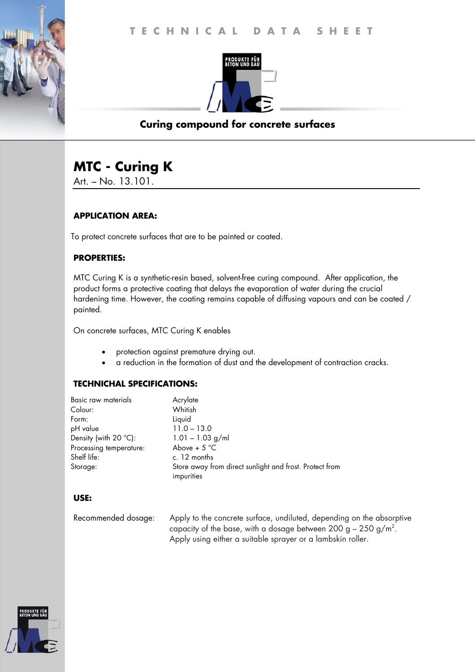

## **Curing compound for concrete surfaces**

# **MTC - Curing K**

Art. – No. 13.101.

## **APPLICATION AREA:**

To protect concrete surfaces that are to be painted or coated.

## **PROPERTIES:**

MTC Curing K is a synthetic-resin based, solvent-free curing compound. After application, the product forms a protective coating that delays the evaporation of water during the crucial hardening time. However, the coating remains capable of diffusing vapours and can be coated / painted.

On concrete surfaces, MTC Curing K enables

- protection against premature drying out.
- a reduction in the formation of dust and the development of contraction cracks.

## **TECHNICHAL SPECIFICATIONS:**

| Basic raw materials            | Acrylate                                                              |
|--------------------------------|-----------------------------------------------------------------------|
| Colour:                        | Whitish                                                               |
| Form:                          | Liquid                                                                |
| pH value                       | $11.0 - 13.0$                                                         |
| Density (with $20^{\circ}$ C): | $1.01 - 1.03$ g/ml                                                    |
| Processing temperature:        | Above + $5^{\circ}$ C                                                 |
| Shelf life:                    | c. 12 months                                                          |
| Storage:                       | Store away from direct sunlight and frost. Protect from<br>impurities |

#### **USE:**

Recommended dosage: Apply to the concrete surface, undiluted, depending on the absorptive capacity of the base, with a dosage between 200 g – 250 g/m<sup>2</sup>. Apply using either a suitable sprayer or a lambskin roller.